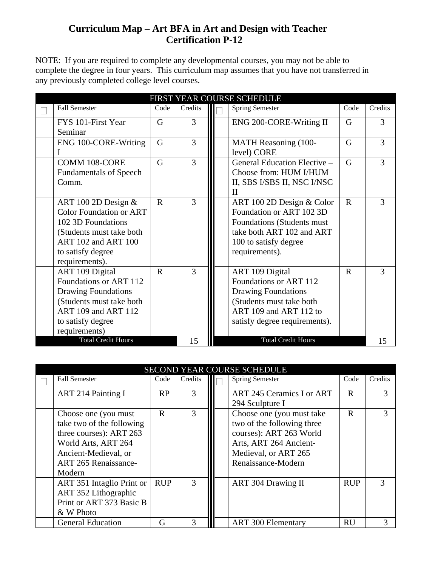## **Curriculum Map – Art BFA in Art and Design with Teacher Certification P-12**

NOTE: If you are required to complete any developmental courses, you may not be able to complete the degree in four years. This curriculum map assumes that you have not transferred in any previously completed college level courses.

| FIRST YEAR COURSE SCHEDULE |                                                                                                                                                                         |              |               |  |                                                                                                                                                                |                |         |  |  |
|----------------------------|-------------------------------------------------------------------------------------------------------------------------------------------------------------------------|--------------|---------------|--|----------------------------------------------------------------------------------------------------------------------------------------------------------------|----------------|---------|--|--|
|                            | <b>Fall Semester</b>                                                                                                                                                    | Code         | Credits       |  | <b>Spring Semester</b>                                                                                                                                         | Code           | Credits |  |  |
|                            | FYS 101-First Year<br>Seminar                                                                                                                                           | G            | 3             |  | ENG 200-CORE-Writing II                                                                                                                                        | G              | 3       |  |  |
|                            | ENG 100-CORE-Writing                                                                                                                                                    | G            | 3             |  | MATH Reasoning (100-<br>level) CORE                                                                                                                            | G              | 3       |  |  |
|                            | <b>COMM 108-CORE</b><br><b>Fundamentals of Speech</b><br>Comm.                                                                                                          | G            | 3             |  | General Education Elective -<br>Choose from: HUM I/HUM<br>II, SBS I/SBS II, NSC I/NSC<br>H                                                                     | $\overline{G}$ | 3       |  |  |
|                            | ART 100 2D Design $&$<br><b>Color Foundation or ART</b><br>102 3D Foundations<br>(Students must take both<br>ART 102 and ART 100<br>to satisfy degree<br>requirements). | $\mathbf R$  | $\mathcal{R}$ |  | ART 100 2D Design & Color<br>Foundation or ART 102 3D<br>Foundations (Students must<br>take both ART 102 and ART<br>100 to satisfy degree<br>requirements).    | $\mathbf R$    | 3       |  |  |
|                            | ART 109 Digital<br>Foundations or ART 112<br><b>Drawing Foundations</b><br>(Students must take both<br>ART 109 and ART 112<br>to satisfy degree<br>requirements)        | $\mathbf{R}$ | 3             |  | ART 109 Digital<br>Foundations or ART 112<br><b>Drawing Foundations</b><br>(Students must take both<br>ART 109 and ART 112 to<br>satisfy degree requirements). | $\mathbf R$    | 3       |  |  |
|                            | <b>Total Credit Hours</b>                                                                                                                                               |              | 15            |  | <b>Total Credit Hours</b>                                                                                                                                      |                | 15      |  |  |

| SECOND YEAR COURSE SCHEDULE |                             |              |               |  |                            |             |               |  |  |
|-----------------------------|-----------------------------|--------------|---------------|--|----------------------------|-------------|---------------|--|--|
|                             | <b>Fall Semester</b>        | Code         | Credits       |  | <b>Spring Semester</b>     | Code        | Credits       |  |  |
|                             | <b>ART 214 Painting I</b>   | RP           | 3             |  | ART 245 Ceramics I or ART  | R           | 3             |  |  |
|                             |                             |              |               |  | 294 Sculpture I            |             |               |  |  |
|                             | Choose one (you must)       | $\mathbf{R}$ | 3             |  | Choose one (you must take  | $\mathbf R$ | 3             |  |  |
|                             | take two of the following   |              |               |  | two of the following three |             |               |  |  |
|                             | three courses): ART 263     |              |               |  | courses): ART 263 World    |             |               |  |  |
|                             | World Arts, ART 264         |              |               |  | Arts, ART 264 Ancient-     |             |               |  |  |
|                             | Ancient-Medieval, or        |              |               |  | Medieval, or ART 265       |             |               |  |  |
|                             | <b>ART 265 Renaissance-</b> |              |               |  | Renaissance-Modern         |             |               |  |  |
|                             | Modern                      |              |               |  |                            |             |               |  |  |
|                             | ART 351 Intaglio Print or   | <b>RUP</b>   | $\mathcal{E}$ |  | ART 304 Drawing II         | <b>RUP</b>  | $\mathcal{F}$ |  |  |
|                             | ART 352 Lithographic        |              |               |  |                            |             |               |  |  |
|                             | Print or ART 373 Basic B    |              |               |  |                            |             |               |  |  |
|                             | & W Photo                   |              |               |  |                            |             |               |  |  |
|                             | <b>General Education</b>    | G            |               |  | <b>ART 300 Elementary</b>  | <b>RU</b>   | 3             |  |  |